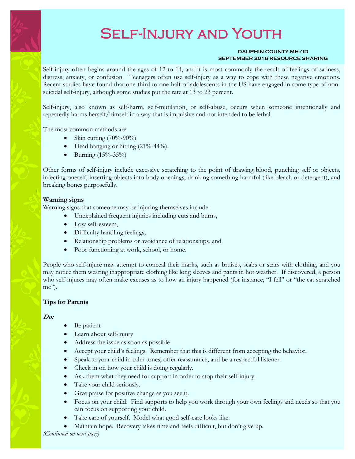# Self-Injury and Youth

#### **DAUPHIN COUNTY MH/ID SEPTEMBER 2016 RESOURCE SHARING**

Self-injury often begins around the ages of 12 to 14, and it is most commonly the result of feelings of sadness, distress, anxiety, or confusion. Teenagers often use self-injury as a way to cope with these negative emotions. Recent studies have found that one-third to one-half of adolescents in the US have engaged in some type of nonsuicidal self-injury, although some studies put the rate at 13 to 23 percent.

Self-injury, also known as self-harm, self-mutilation, or self-abuse, occurs when someone intentionally and repeatedly harms herself/himself in a way that is impulsive and not intended to be lethal.

The most common methods are:

- Skin cutting  $(70\% 90\%)$
- $\bullet$  Head banging or hitting (21%-44%),
- Burning  $(15% 35%)$

Other forms of self-injury include excessive scratching to the point of drawing blood, punching self or objects, infecting oneself, inserting objects into body openings, drinking something harmful (like bleach or detergent), and breaking bones purposefully.

## **Warning signs**

Warning signs that someone may be injuring themselves include:

- Unexplained frequent injuries including cuts and burns,
- Low self-esteem,
- Difficulty handling feelings,
- Relationship problems or avoidance of relationships, and
- Poor functioning at work, school, or home.

People who self-injure may attempt to conceal their marks, such as bruises, scabs or scars with clothing, and you may notice them wearing inappropriate clothing like long sleeves and pants in hot weather. If discovered, a person who self-injures may often make excuses as to how an injury happened (for instance, "I fell" or "the cat scratched me").

## **Tips for Parents**

## **Do:**

- Be patient
- Learn about self-injury
- Address the issue as soon as possible
- Accept your child's feelings. Remember that this is different from accepting the behavior.
- Speak to your child in calm tones, offer reassurance, and be a respectful listener.
- Check in on how your child is doing regularly.
- Ask them what they need for support in order to stop their self-injury.
- Take your child seriously.
- Give praise for positive change as you see it.
- Focus on your child. Find supports to help you work through your own feelings and needs so that you can focus on supporting your child.
- Take care of yourself. Model what good self-care looks like.
- Maintain hope. Recovery takes time and feels difficult, but don't give up.

*(Continued on next page)*